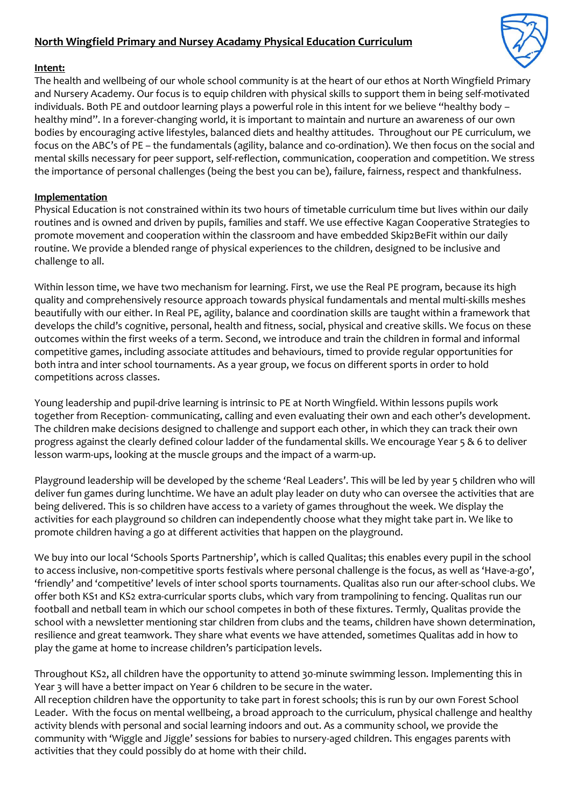## **North Wingfield Primary and Nursey Acadamy Physical Education Curriculum**



## **Intent:**

The health and wellbeing of our whole school community is at the heart of our ethos at North Wingfield Primary and Nursery Academy. Our focus is to equip children with physical skills to support them in being self-motivated individuals. Both PE and outdoor learning plays a powerful role in this intent for we believe "healthy body – healthy mind". In a forever-changing world, it is important to maintain and nurture an awareness of our own bodies by encouraging active lifestyles, balanced diets and healthy attitudes. Throughout our PE curriculum, we focus on the ABC's of PE – the fundamentals (agility, balance and co-ordination). We then focus on the social and mental skills necessary for peer support, self-reflection, communication, cooperation and competition. We stress the importance of personal challenges (being the best you can be), failure, fairness, respect and thankfulness.

## **Implementation**

Physical Education is not constrained within its two hours of timetable curriculum time but lives within our daily routines and is owned and driven by pupils, families and staff. We use effective Kagan Cooperative Strategies to promote movement and cooperation within the classroom and have embedded Skip2BeFit within our daily routine. We provide a blended range of physical experiences to the children, designed to be inclusive and challenge to all.

Within lesson time, we have two mechanism for learning. First, we use the Real PE program, because its high quality and comprehensively resource approach towards physical fundamentals and mental multi-skills meshes beautifully with our either. In Real PE, agility, balance and coordination skills are taught within a framework that develops the child's cognitive, personal, health and fitness, social, physical and creative skills. We focus on these outcomes within the first weeks of a term. Second, we introduce and train the children in formal and informal competitive games, including associate attitudes and behaviours, timed to provide regular opportunities for both intra and inter school tournaments. As a year group, we focus on different sports in order to hold competitions across classes.

Young leadership and pupil-drive learning is intrinsic to PE at North Wingfield. Within lessons pupils work together from Reception- communicating, calling and even evaluating their own and each other's development. The children make decisions designed to challenge and support each other, in which they can track their own progress against the clearly defined colour ladder of the fundamental skills. We encourage Year 5 & 6 to deliver lesson warm-ups, looking at the muscle groups and the impact of a warm-up.

Playground leadership will be developed by the scheme 'Real Leaders'. This will be led by year 5 children who will deliver fun games during lunchtime. We have an adult play leader on duty who can oversee the activities that are being delivered. This is so children have access to a variety of games throughout the week. We display the activities for each playground so children can independently choose what they might take part in. We like to promote children having a go at different activities that happen on the playground.

We buy into our local 'Schools Sports Partnership', which is called Qualitas; this enables every pupil in the school to access inclusive, non-competitive sports festivals where personal challenge is the focus, as well as 'Have-a-go', 'friendly' and 'competitive' levels of inter school sports tournaments. Qualitas also run our after-school clubs. We offer both KS1 and KS2 extra-curricular sports clubs, which vary from trampolining to fencing. Qualitas run our football and netball team in which our school competes in both of these fixtures. Termly, Qualitas provide the school with a newsletter mentioning star children from clubs and the teams, children have shown determination, resilience and great teamwork. They share what events we have attended, sometimes Qualitas add in how to play the game at home to increase children's participation levels.

Throughout KS2, all children have the opportunity to attend 30-minute swimming lesson. Implementing this in Year 3 will have a better impact on Year 6 children to be secure in the water. All reception children have the opportunity to take part in forest schools; this is run by our own Forest School Leader. With the focus on mental wellbeing, a broad approach to the curriculum, physical challenge and healthy activity blends with personal and social learning indoors and out. As a community school, we provide the community with 'Wiggle and Jiggle' sessions for babies to nursery-aged children. This engages parents with activities that they could possibly do at home with their child.